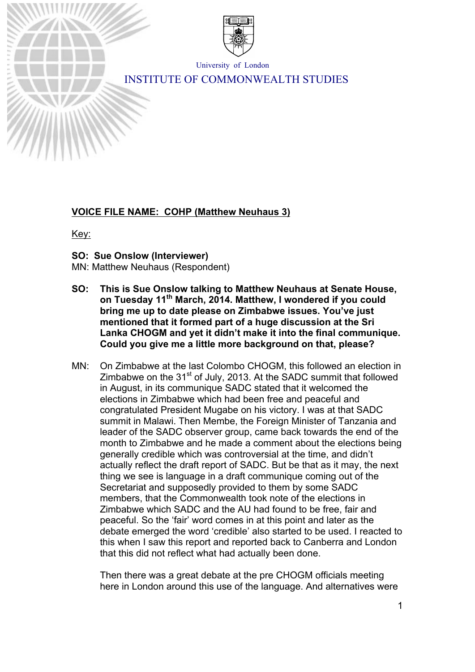

University of London

# INSTITUTE OF COMMONWEALTH STUDIES

# **VOICE FILE NAME: COHP (Matthew Neuhaus 3)**

Key:

# **SO: Sue Onslow (Interviewer)**

MN: Matthew Neuhaus (Respondent)

- **SO: This is Sue Onslow talking to Matthew Neuhaus at Senate House, on Tuesday 11th March, 2014. Matthew, I wondered if you could bring me up to date please on Zimbabwe issues. You've just mentioned that it formed part of a huge discussion at the Sri Lanka CHOGM and yet it didn't make it into the final communique. Could you give me a little more background on that, please?**
- MN: On Zimbabwe at the last Colombo CHOGM, this followed an election in Zimbabwe on the  $31<sup>st</sup>$  of July, 2013. At the SADC summit that followed in August, in its communique SADC stated that it welcomed the elections in Zimbabwe which had been free and peaceful and congratulated President Mugabe on his victory. I was at that SADC summit in Malawi. Then Membe, the Foreign Minister of Tanzania and leader of the SADC observer group, came back towards the end of the month to Zimbabwe and he made a comment about the elections being generally credible which was controversial at the time, and didn't actually reflect the draft report of SADC. But be that as it may, the next thing we see is language in a draft communique coming out of the Secretariat and supposedly provided to them by some SADC members, that the Commonwealth took note of the elections in Zimbabwe which SADC and the AU had found to be free, fair and peaceful. So the 'fair' word comes in at this point and later as the debate emerged the word 'credible' also started to be used. I reacted to this when I saw this report and reported back to Canberra and London that this did not reflect what had actually been done.

Then there was a great debate at the pre CHOGM officials meeting here in London around this use of the language. And alternatives were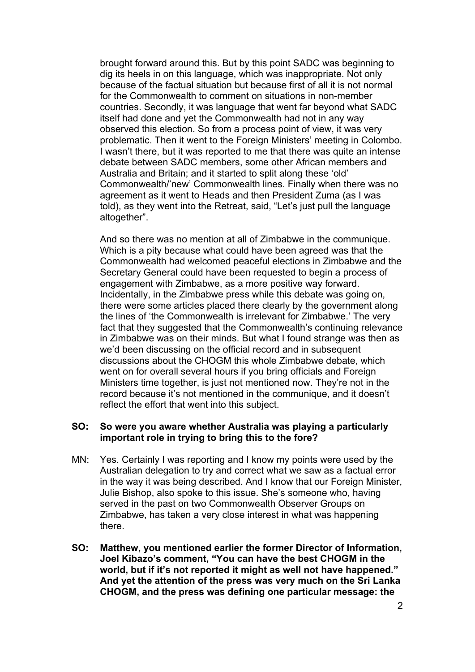brought forward around this. But by this point SADC was beginning to dig its heels in on this language, which was inappropriate. Not only because of the factual situation but because first of all it is not normal for the Commonwealth to comment on situations in non-member countries. Secondly, it was language that went far beyond what SADC itself had done and yet the Commonwealth had not in any way observed this election. So from a process point of view, it was very problematic. Then it went to the Foreign Ministers' meeting in Colombo. I wasn't there, but it was reported to me that there was quite an intense debate between SADC members, some other African members and Australia and Britain; and it started to split along these 'old' Commonwealth/'new' Commonwealth lines. Finally when there was no agreement as it went to Heads and then President Zuma (as I was told), as they went into the Retreat, said, "Let's just pull the language altogether".

And so there was no mention at all of Zimbabwe in the communique. Which is a pity because what could have been agreed was that the Commonwealth had welcomed peaceful elections in Zimbabwe and the Secretary General could have been requested to begin a process of engagement with Zimbabwe, as a more positive way forward. Incidentally, in the Zimbabwe press while this debate was going on, there were some articles placed there clearly by the government along the lines of 'the Commonwealth is irrelevant for Zimbabwe.' The very fact that they suggested that the Commonwealth's continuing relevance in Zimbabwe was on their minds. But what I found strange was then as we'd been discussing on the official record and in subsequent discussions about the CHOGM this whole Zimbabwe debate, which went on for overall several hours if you bring officials and Foreign Ministers time together, is just not mentioned now. They're not in the record because it's not mentioned in the communique, and it doesn't reflect the effort that went into this subject.

# **SO: So were you aware whether Australia was playing a particularly important role in trying to bring this to the fore?**

- MN: Yes. Certainly I was reporting and I know my points were used by the Australian delegation to try and correct what we saw as a factual error in the way it was being described. And I know that our Foreign Minister, Julie Bishop, also spoke to this issue. She's someone who, having served in the past on two Commonwealth Observer Groups on Zimbabwe, has taken a very close interest in what was happening there.
- **SO: Matthew, you mentioned earlier the former Director of Information, Joel Kibazo's comment, "You can have the best CHOGM in the world, but if it's not reported it might as well not have happened." And yet the attention of the press was very much on the Sri Lanka CHOGM, and the press was defining one particular message: the**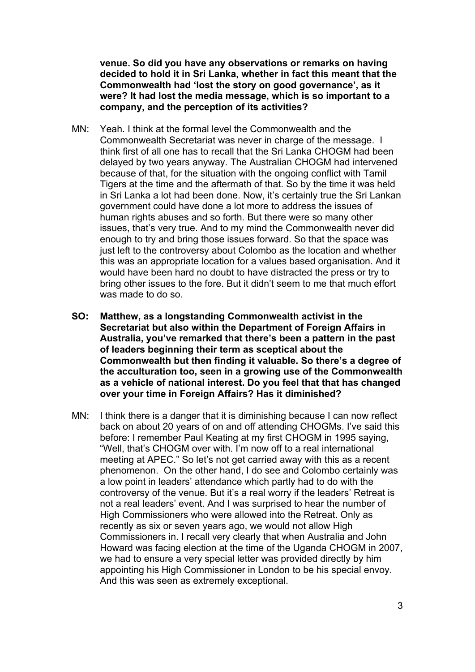**venue. So did you have any observations or remarks on having decided to hold it in Sri Lanka, whether in fact this meant that the Commonwealth had 'lost the story on good governance', as it were? It had lost the media message, which is so important to a company, and the perception of its activities?**

- MN: Yeah. I think at the formal level the Commonwealth and the Commonwealth Secretariat was never in charge of the message. I think first of all one has to recall that the Sri Lanka CHOGM had been delayed by two years anyway. The Australian CHOGM had intervened because of that, for the situation with the ongoing conflict with Tamil Tigers at the time and the aftermath of that. So by the time it was held in Sri Lanka a lot had been done. Now, it's certainly true the Sri Lankan government could have done a lot more to address the issues of human rights abuses and so forth. But there were so many other issues, that's very true. And to my mind the Commonwealth never did enough to try and bring those issues forward. So that the space was just left to the controversy about Colombo as the location and whether this was an appropriate location for a values based organisation. And it would have been hard no doubt to have distracted the press or try to bring other issues to the fore. But it didn't seem to me that much effort was made to do so.
- **SO: Matthew, as a longstanding Commonwealth activist in the Secretariat but also within the Department of Foreign Affairs in Australia, you've remarked that there's been a pattern in the past of leaders beginning their term as sceptical about the Commonwealth but then finding it valuable. So there's a degree of the acculturation too, seen in a growing use of the Commonwealth as a vehicle of national interest. Do you feel that that has changed over your time in Foreign Affairs? Has it diminished?**
- MN: I think there is a danger that it is diminishing because I can now reflect back on about 20 years of on and off attending CHOGMs. I've said this before: I remember Paul Keating at my first CHOGM in 1995 saying, "Well, that's CHOGM over with. I'm now off to a real international meeting at APEC." So let's not get carried away with this as a recent phenomenon. On the other hand, I do see and Colombo certainly was a low point in leaders' attendance which partly had to do with the controversy of the venue. But it's a real worry if the leaders' Retreat is not a real leaders' event. And I was surprised to hear the number of High Commissioners who were allowed into the Retreat. Only as recently as six or seven years ago, we would not allow High Commissioners in. I recall very clearly that when Australia and John Howard was facing election at the time of the Uganda CHOGM in 2007, we had to ensure a very special letter was provided directly by him appointing his High Commissioner in London to be his special envoy. And this was seen as extremely exceptional.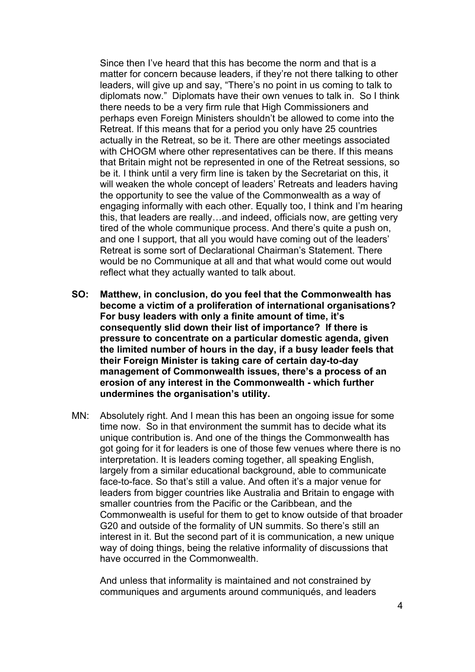Since then I've heard that this has become the norm and that is a matter for concern because leaders, if they're not there talking to other leaders, will give up and say, "There's no point in us coming to talk to diplomats now." Diplomats have their own venues to talk in. So I think there needs to be a very firm rule that High Commissioners and perhaps even Foreign Ministers shouldn't be allowed to come into the Retreat. If this means that for a period you only have 25 countries actually in the Retreat, so be it. There are other meetings associated with CHOGM where other representatives can be there. If this means that Britain might not be represented in one of the Retreat sessions, so be it. I think until a very firm line is taken by the Secretariat on this, it will weaken the whole concept of leaders' Retreats and leaders having the opportunity to see the value of the Commonwealth as a way of engaging informally with each other. Equally too, I think and I'm hearing this, that leaders are really…and indeed, officials now, are getting very tired of the whole communique process. And there's quite a push on, and one I support, that all you would have coming out of the leaders' Retreat is some sort of Declarational Chairman's Statement. There would be no Communique at all and that what would come out would reflect what they actually wanted to talk about.

- **SO: Matthew, in conclusion, do you feel that the Commonwealth has become a victim of a proliferation of international organisations? For busy leaders with only a finite amount of time, it's consequently slid down their list of importance? If there is pressure to concentrate on a particular domestic agenda, given the limited number of hours in the day, if a busy leader feels that their Foreign Minister is taking care of certain day-to-day management of Commonwealth issues, there's a process of an erosion of any interest in the Commonwealth - which further undermines the organisation's utility.**
- MN: Absolutely right. And I mean this has been an ongoing issue for some time now. So in that environment the summit has to decide what its unique contribution is. And one of the things the Commonwealth has got going for it for leaders is one of those few venues where there is no interpretation. It is leaders coming together, all speaking English, largely from a similar educational background, able to communicate face-to-face. So that's still a value. And often it's a major venue for leaders from bigger countries like Australia and Britain to engage with smaller countries from the Pacific or the Caribbean, and the Commonwealth is useful for them to get to know outside of that broader G20 and outside of the formality of UN summits. So there's still an interest in it. But the second part of it is communication, a new unique way of doing things, being the relative informality of discussions that have occurred in the Commonwealth.

And unless that informality is maintained and not constrained by communiques and arguments around communiqués, and leaders